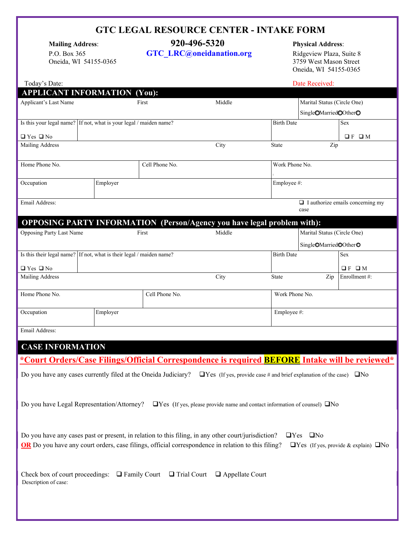## **GTC LEGAL RESOURCE CENTER - INTAKE FORM**

Oneida, WI 54155-0365

# **Mailing Address**: **920-496-5320 Physical Address**:

P.O. Box 365 **[GTC\\_LRC@oneidanation.org](mailto:GTC_LRC@oneidanation.org)** Ridgeview Plaza, Suite 8<br>Oneida, WI 54155-0365 **GTC\_LRC@oneidanation.org** Ridgeview Plaza, Suite 8 Oneida, WI 54155-0365

| Today's Date:                                                                                                                                          |  |          |                                                                                |                                         |                   | Date Received:                    |                            |  |  |
|--------------------------------------------------------------------------------------------------------------------------------------------------------|--|----------|--------------------------------------------------------------------------------|-----------------------------------------|-------------------|-----------------------------------|----------------------------|--|--|
| <b>APPLICANT INFORMATION (You):</b>                                                                                                                    |  |          |                                                                                |                                         |                   |                                   |                            |  |  |
| Applicant's Last Name                                                                                                                                  |  |          | First                                                                          | Middle                                  |                   | Marital Status (Circle One)       |                            |  |  |
|                                                                                                                                                        |  |          |                                                                                |                                         |                   | Single <sup>OMarriedOOtherO</sup> |                            |  |  |
| Is this your legal name? If not, what is your legal / maiden name?                                                                                     |  |          |                                                                                |                                         | <b>Birth Date</b> |                                   | Sex                        |  |  |
| $\Box$ Yes $\Box$ No                                                                                                                                   |  |          |                                                                                |                                         |                   |                                   | QFQM                       |  |  |
| Mailing Address                                                                                                                                        |  |          |                                                                                | City                                    | State             | Zip                               |                            |  |  |
|                                                                                                                                                        |  |          |                                                                                |                                         |                   |                                   |                            |  |  |
| Home Phone No.                                                                                                                                         |  |          | Cell Phone No.                                                                 |                                         | Work Phone No.    |                                   |                            |  |  |
| Occupation                                                                                                                                             |  | Employer |                                                                                |                                         | Employee #:       |                                   |                            |  |  |
|                                                                                                                                                        |  |          |                                                                                |                                         |                   |                                   |                            |  |  |
| Email Address:                                                                                                                                         |  |          |                                                                                | $\Box$ I authorize emails concerning my |                   |                                   |                            |  |  |
|                                                                                                                                                        |  |          |                                                                                |                                         |                   | case                              |                            |  |  |
|                                                                                                                                                        |  |          | <b>OPPOSING PARTY INFORMATION</b> (Person/Agency you have legal problem with): |                                         |                   |                                   |                            |  |  |
| Opposing Party Last Name                                                                                                                               |  |          | First                                                                          | Middle                                  |                   | Marital Status (Circle One)       |                            |  |  |
|                                                                                                                                                        |  |          |                                                                                |                                         |                   | Single <sup>OMarriedOOtherO</sup> |                            |  |  |
| Is this their legal name? If not, what is their legal / maiden name?                                                                                   |  |          |                                                                                |                                         | <b>Birth Date</b> |                                   | <b>Sex</b>                 |  |  |
|                                                                                                                                                        |  |          |                                                                                |                                         |                   |                                   |                            |  |  |
| $\Box$ Yes $\Box$ No                                                                                                                                   |  |          |                                                                                |                                         |                   |                                   | $\square$ F<br>$\square$ M |  |  |
| Mailing Address                                                                                                                                        |  |          |                                                                                | City                                    | <b>State</b>      | Zip                               | Enrollment#:               |  |  |
| Home Phone No.                                                                                                                                         |  |          | Cell Phone No.                                                                 |                                         | Work Phone No.    |                                   |                            |  |  |
|                                                                                                                                                        |  |          |                                                                                |                                         |                   |                                   |                            |  |  |
| Occupation                                                                                                                                             |  | Employer |                                                                                |                                         | Employee #:       |                                   |                            |  |  |
|                                                                                                                                                        |  |          |                                                                                |                                         |                   |                                   |                            |  |  |
| Email Address:                                                                                                                                         |  |          |                                                                                |                                         |                   |                                   |                            |  |  |
| <b>CASE INFORMATION</b>                                                                                                                                |  |          |                                                                                |                                         |                   |                                   |                            |  |  |
|                                                                                                                                                        |  |          |                                                                                |                                         |                   |                                   |                            |  |  |
| *Court Orders/Case Filings/Official Correspondence is required <b>BEFORE</b> Intake will be reviewed*                                                  |  |          |                                                                                |                                         |                   |                                   |                            |  |  |
| Do you have any cases currently filed at the Oneida Judiciary?<br>$\Box$ Yes (If yes, provide case # and brief explanation of the case) $\Box$ No      |  |          |                                                                                |                                         |                   |                                   |                            |  |  |
|                                                                                                                                                        |  |          |                                                                                |                                         |                   |                                   |                            |  |  |
|                                                                                                                                                        |  |          |                                                                                |                                         |                   |                                   |                            |  |  |
| Do you have Legal Representation/Attorney? $\Box$ Yes (If yes, please provide name and contact information of counsel) $\Box$ No                       |  |          |                                                                                |                                         |                   |                                   |                            |  |  |
|                                                                                                                                                        |  |          |                                                                                |                                         |                   |                                   |                            |  |  |
|                                                                                                                                                        |  |          |                                                                                |                                         |                   |                                   |                            |  |  |
| Do you have any cases past or present, in relation to this filing, in any other court/jurisdiction?<br>$\square$ No<br>$\Box$ Yes                      |  |          |                                                                                |                                         |                   |                                   |                            |  |  |
| OR Do you have any court orders, case filings, official correspondence in relation to this filing?<br>$\Box$ Yes (If yes, provide & explain) $\Box$ No |  |          |                                                                                |                                         |                   |                                   |                            |  |  |
|                                                                                                                                                        |  |          |                                                                                |                                         |                   |                                   |                            |  |  |
|                                                                                                                                                        |  |          |                                                                                |                                         |                   |                                   |                            |  |  |
| Check box of court proceedings: $\Box$ Family Court $\Box$ Trial Court $\Box$ Appellate Court                                                          |  |          |                                                                                |                                         |                   |                                   |                            |  |  |
| Description of case:                                                                                                                                   |  |          |                                                                                |                                         |                   |                                   |                            |  |  |
|                                                                                                                                                        |  |          |                                                                                |                                         |                   |                                   |                            |  |  |
|                                                                                                                                                        |  |          |                                                                                |                                         |                   |                                   |                            |  |  |